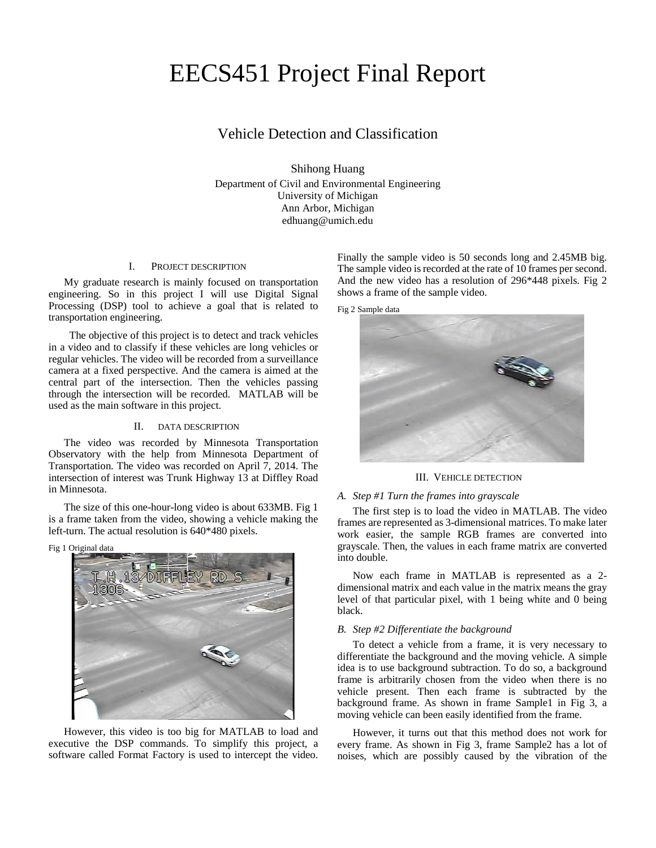# EECS451 Project Final Report

# Vehicle Detection and Classification

Shihong Huang Department of Civil and Environmental Engineering University of Michigan Ann Arbor, Michigan edhuang@umich.edu

# I. PROJECT DESCRIPTION

My graduate research is mainly focused on transportation engineering. So in this project I will use Digital Signal Processing (DSP) tool to achieve a goal that is related to transportation engineering.

 The objective of this project is to detect and track vehicles in a video and to classify if these vehicles are long vehicles or regular vehicles. The video will be recorded from a surveillance camera at a fixed perspective. And the camera is aimed at the central part of the intersection. Then the vehicles passing through the intersection will be recorded. MATLAB will be used as the main software in this project.

#### II. DATA DESCRIPTION

The video was recorded by Minnesota Transportation Observatory with the help from Minnesota Department of Transportation. The video was recorded on April 7, 2014. The intersection of interest was Trunk Highway 13 at Diffley Road in Minnesota.

The size of this one-hour-long video is about 633MB. Fig 1 is a frame taken from the video, showing a vehicle making the left-turn. The actual resolution is 640\*480 pixels.

Fig 1 Original data



However, this video is too big for MATLAB to load and executive the DSP commands. To simplify this project, a software called Format Factory is used to intercept the video. Finally the sample video is 50 seconds long and 2.45MB big. The sample video is recorded at the rate of 10 frames per second. And the new video has a resolution of 296\*448 pixels. [Fig 2](#page-0-0) shows a frame of the sample video.

<span id="page-0-0"></span>Fig 2 Sample data



III. VEHICLE DETECTION

#### *A. Step #1 Turn the frames into grayscale*

The first step is to load the video in MATLAB. The video frames are represented as 3-dimensional matrices. To make later work easier, the sample RGB frames are converted into grayscale. Then, the values in each frame matrix are converted into double.

Now each frame in MATLAB is represented as a 2 dimensional matrix and each value in the matrix means the gray level of that particular pixel, with 1 being white and 0 being black.

# *B. Step #2 Differentiate the background*

To detect a vehicle from a frame, it is very necessary to differentiate the background and the moving vehicle. A simple idea is to use background subtraction. To do so, a background frame is arbitrarily chosen from the video when there is no vehicle present. Then each frame is subtracted by the background frame. As shown in frame Sample1 in [Fig 3,](#page-1-0) a moving vehicle can been easily identified from the frame.

However, it turns out that this method does not work for every frame. As shown in [Fig 3,](#page-1-0) frame Sample2 has a lot of noises, which are possibly caused by the vibration of the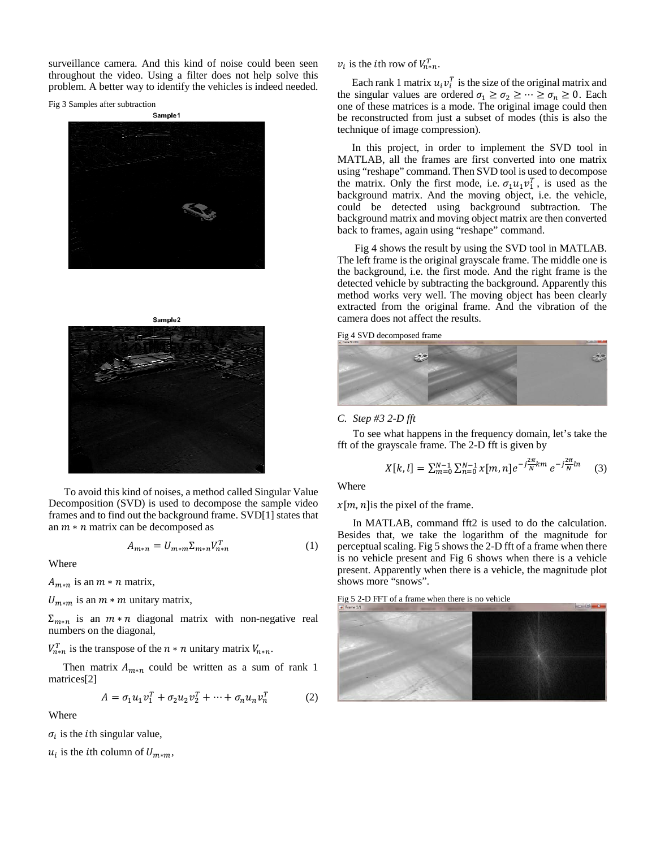surveillance camera. And this kind of noise could been seen throughout the video. Using a filter does not help solve this problem. A better way to identify the vehicles is indeed needed.

<span id="page-1-0"></span>Fig 3 Samples after subtraction





Sample<sub>2</sub>



To avoid this kind of noises, a method called Singular Value Decomposition (SVD) is used to decompose the sample video frames and to find out the background frame. SVD[1] states that an  $m * n$  matrix can be decomposed as

$$
A_{m*n} = U_{m*m} \Sigma_{m*n} V_{n*n}^T \tag{1}
$$

Where

 $A_{m*n}$  is an  $m*n$  matrix,

 $U_{m*m}$  is an  $m*m$  unitary matrix,

 $\Sigma_{m*n}$  is an  $m*n$  diagonal matrix with non-negative real numbers on the diagonal,

 $V_{n*n}^T$  is the transpose of the  $n*n$  unitary matrix  $V_{n*n}$ .

Then matrix  $A_{m*n}$  could be written as a sum of rank 1 matrices[2]

$$
A = \sigma_1 u_1 v_1^T + \sigma_2 u_2 v_2^T + \dots + \sigma_n u_n v_n^T \tag{2}
$$

Where

 $\sigma_i$  is the *i*th singular value,

 $u_i$  is the *i*th column of  $U_{m*m}$ ,

 $v_i$  is the *i*th row of  $V_{n*n}^T$ .

Each rank 1 matrix  $u_i v_i^T$  is the size of the original matrix and the singular values are ordered  $\sigma_1 \ge \sigma_2 \ge \cdots \ge \sigma_n \ge 0$ . Each one of these matrices is a mode. The original image could then be reconstructed from just a subset of modes (this is also the technique of image compression).

In this project, in order to implement the SVD tool in MATLAB, all the frames are first converted into one matrix using "reshape" command. Then SVD tool is used to decompose the matrix. Only the first mode, i.e.  $\sigma_1 u_1 v_1^T$ , is used as the background matrix. And the moving object, i.e. the vehicle, could be detected using background subtraction. The background matrix and moving object matrix are then converted back to frames, again using "reshape" command.

[Fig 4](#page-1-1) shows the result by using the SVD tool in MATLAB. The left frame is the original grayscale frame. The middle one is the background, i.e. the first mode. And the right frame is the detected vehicle by subtracting the background. Apparently this method works very well. The moving object has been clearly extracted from the original frame. And the vibration of the camera does not affect the results.

<span id="page-1-1"></span>Fig 4 SVD decomposed frame



*C. Step #3 2-D fft*

To see what happens in the frequency domain, let's take the fft of the grayscale frame. The 2-D fft is given by

$$
X[k, l] = \sum_{m=0}^{N-1} \sum_{n=0}^{N-1} x[m, n] e^{-j\frac{2\pi}{N}km} e^{-j\frac{2\pi}{N}ln}
$$
 (3)

Where

 $x[m, n]$  is the pixel of the frame.

In MATLAB, command fft2 is used to do the calculation. Besides that, we take the logarithm of the magnitude for perceptual scaling. [Fig 5](#page-1-2) shows the 2-D fft of a frame when there is no vehicle present and [Fig 6](#page-2-0) shows when there is a vehicle present. Apparently when there is a vehicle, the magnitude plot shows more "snows".

<span id="page-1-2"></span>Fig 5 2-D FFT of a frame when there is no vehicle

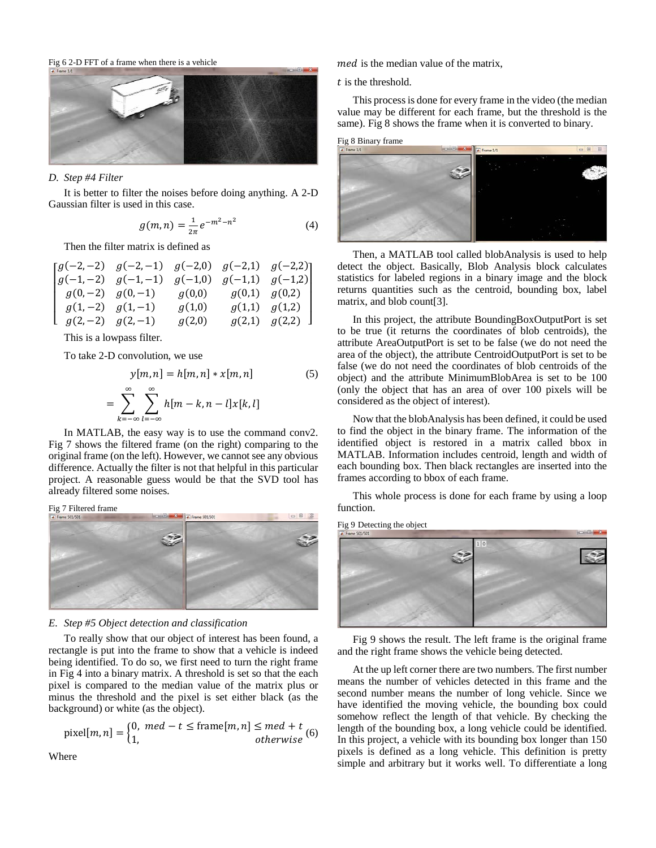<span id="page-2-0"></span>Fig 6 2-D FFT of a frame when there is a vehicle



# *D. Step #4 Filter*

It is better to filter the noises before doing anything. A 2-D Gaussian filter is used in this case.

$$
g(m,n) = \frac{1}{2\pi}e^{-m^2 - n^2}
$$
 (4)

Then the filter matrix is defined as

$$
\begin{bmatrix}\ng(-2,-2) & g(-2,-1) & g(-2,0) & g(-2,1) & g(-2,2) \\
g(-1,-2) & g(-1,-1) & g(-1,0) & g(-1,1) & g(-1,2) \\
g(0,-2) & g(0,-1) & g(0,0) & g(0,1) & g(0,2) \\
g(1,-2) & g(1,-1) & g(1,0) & g(1,1) & g(1,2) \\
g(2,-2) & g(2,-1) & g(2,0) & g(2,1) & g(2,2)\n\end{bmatrix}
$$

This is a lowpass filter.

To take 2-D convolution, we use

$$
y[m,n] = h[m,n] * x[m,n]
$$
\n
$$
= \sum_{k=-\infty}^{\infty} \sum_{l=-\infty}^{\infty} h[m-k,n-l]x[k,l]
$$
\n(5)

In MATLAB, the easy way is to use the command conv2. [Fig 7](#page-2-1) shows the filtered frame (on the right) comparing to the original frame (on the left). However, we cannot see any obvious difference. Actually the filter is not that helpful in this particular project. A reasonable guess would be that the SVD tool has already filtered some noises.

<span id="page-2-1"></span>

# *E. Step #5 Object detection and classification*

To really show that our object of interest has been found, a rectangle is put into the frame to show that a vehicle is indeed being identified. To do so, we first need to turn the right frame i[n Fig 4](#page-1-1) into a binary matrix. A threshold is set so that the each pixel is compared to the median value of the matrix plus or minus the threshold and the pixel is set either black (as the background) or white (as the object).

$$
pixel[m, n] = \begin{cases} 0, \text{ med } -t \le \text{frame}[m, n] \le \text{med } +t \\ 1, \text{ otherwise} \end{cases} (6)
$$

med is the median value of the matrix,

 $t$  is the threshold.

This process is done for every frame in the video (the median value may be different for each frame, but the threshold is the same). [Fig 8](#page-2-2) shows the frame when it is converted to binary.

<span id="page-2-2"></span>

Then, a MATLAB tool called blobAnalysis is used to help detect the object. Basically, Blob Analysis block calculates statistics for labeled regions in a binary image and the block returns quantities such as the centroid, bounding box, label matrix, and blob count[3].

In this project, the attribute BoundingBoxOutputPort is set to be true (it returns the coordinates of blob centroids), the attribute AreaOutputPort is set to be false (we do not need the area of the object), the attribute CentroidOutputPort is set to be false (we do not need the coordinates of blob centroids of the object) and the attribute MinimumBlobArea is set to be 100 (only the object that has an area of over 100 pixels will be considered as the object of interest).

Now that the blobAnalysis has been defined, it could be used to find the object in the binary frame. The information of the identified object is restored in a matrix called bbox in MATLAB. Information includes centroid, length and width of each bounding box. Then black rectangles are inserted into the frames according to bbox of each frame.

This whole process is done for each frame by using a loop function.

<span id="page-2-3"></span>Fig 9 Detecting the object



[Fig 9](#page-2-3) shows the result. The left frame is the original frame and the right frame shows the vehicle being detected.

At the up left corner there are two numbers. The first number means the number of vehicles detected in this frame and the second number means the number of long vehicle. Since we have identified the moving vehicle, the bounding box could somehow reflect the length of that vehicle. By checking the length of the bounding box, a long vehicle could be identified. In this project, a vehicle with its bounding box longer than 150 pixels is defined as a long vehicle. This definition is pretty simple and arbitrary but it works well. To differentiate a long

**Where**